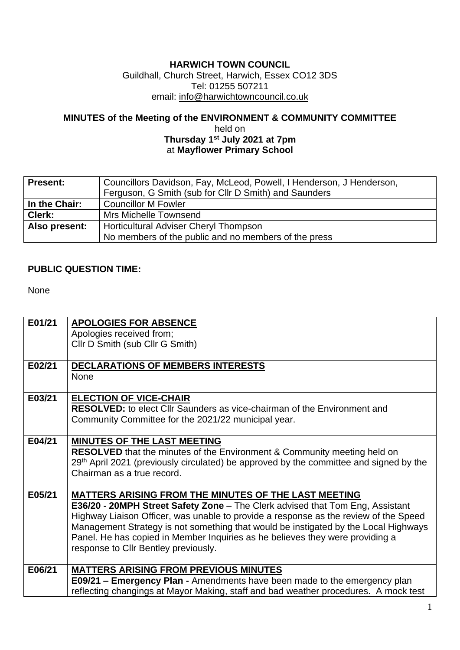## **HARWICH TOWN COUNCIL**

Guildhall, Church Street, Harwich, Essex CO12 3DS Tel: 01255 507211 email: [info@harwichtowncouncil.co.uk](mailto:info@harwichtowncouncil.co.uk)

## **MINUTES of the Meeting of the ENVIRONMENT & COMMUNITY COMMITTEE**  held on

**Thursday 1 st July 2021 at 7pm** at **Mayflower Primary School**

| <b>Present:</b> | Councillors Davidson, Fay, McLeod, Powell, I Henderson, J Henderson,<br>Ferguson, G Smith (sub for Cllr D Smith) and Saunders |
|-----------------|-------------------------------------------------------------------------------------------------------------------------------|
| In the Chair:   | <b>Councillor M Fowler</b>                                                                                                    |
| Clerk:          | Mrs Michelle Townsend                                                                                                         |
| Also present:   | Horticultural Adviser Cheryl Thompson                                                                                         |
|                 | No members of the public and no members of the press                                                                          |

## **PUBLIC QUESTION TIME:**

None

| E01/21 | <b>APOLOGIES FOR ABSENCE</b><br>Apologies received from;<br>Cllr D Smith (sub Cllr G Smith)                                                                                                                                                                                                                                                                                                                                                   |
|--------|-----------------------------------------------------------------------------------------------------------------------------------------------------------------------------------------------------------------------------------------------------------------------------------------------------------------------------------------------------------------------------------------------------------------------------------------------|
| E02/21 | DECLARATIONS OF MEMBERS INTERESTS<br><b>None</b>                                                                                                                                                                                                                                                                                                                                                                                              |
| E03/21 | <b>ELECTION OF VICE-CHAIR</b><br><b>RESOLVED:</b> to elect Cllr Saunders as vice-chairman of the Environment and<br>Community Committee for the 2021/22 municipal year.                                                                                                                                                                                                                                                                       |
| E04/21 | <b>MINUTES OF THE LAST MEETING</b><br><b>RESOLVED</b> that the minutes of the Environment & Community meeting held on<br>29 <sup>th</sup> April 2021 (previously circulated) be approved by the committee and signed by the<br>Chairman as a true record.                                                                                                                                                                                     |
| E05/21 | MATTERS ARISING FROM THE MINUTES OF THE LAST MEETING<br>E36/20 - 20MPH Street Safety Zone - The Clerk advised that Tom Eng, Assistant<br>Highway Liaison Officer, was unable to provide a response as the review of the Speed<br>Management Strategy is not something that would be instigated by the Local Highways<br>Panel. He has copied in Member Inquiries as he believes they were providing a<br>response to Cllr Bentley previously. |
| E06/21 | <b>MATTERS ARISING FROM PREVIOUS MINUTES</b><br><b>E09/21 - Emergency Plan -</b> Amendments have been made to the emergency plan<br>reflecting changings at Mayor Making, staff and bad weather procedures. A mock test                                                                                                                                                                                                                       |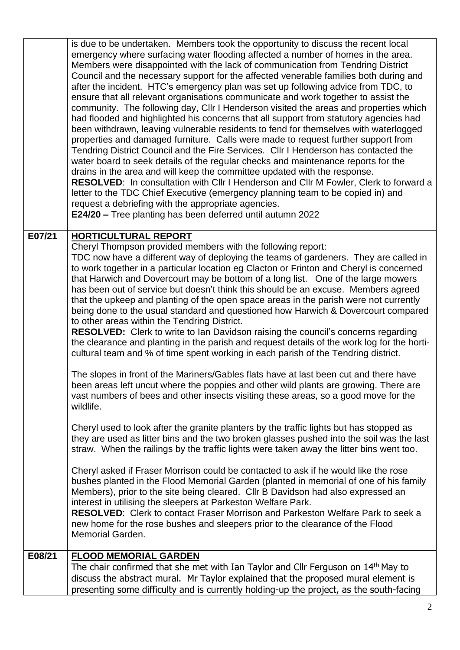|        | is due to be undertaken. Members took the opportunity to discuss the recent local<br>emergency where surfacing water flooding affected a number of homes in the area.<br>Members were disappointed with the lack of communication from Tendring District<br>Council and the necessary support for the affected venerable families both during and<br>after the incident. HTC's emergency plan was set up following advice from TDC, to<br>ensure that all relevant organisations communicate and work together to assist the<br>community. The following day, Cllr I Henderson visited the areas and properties which<br>had flooded and highlighted his concerns that all support from statutory agencies had<br>been withdrawn, leaving vulnerable residents to fend for themselves with waterlogged<br>properties and damaged furniture. Calls were made to request further support from<br>Tendring District Council and the Fire Services. Cllr I Henderson has contacted the<br>water board to seek details of the regular checks and maintenance reports for the<br>drains in the area and will keep the committee updated with the response.<br><b>RESOLVED:</b> In consultation with Cllr I Henderson and Cllr M Fowler, Clerk to forward a<br>letter to the TDC Chief Executive (emergency planning team to be copied in) and<br>request a debriefing with the appropriate agencies.<br>E24/20 - Tree planting has been deferred until autumn 2022 |
|--------|--------------------------------------------------------------------------------------------------------------------------------------------------------------------------------------------------------------------------------------------------------------------------------------------------------------------------------------------------------------------------------------------------------------------------------------------------------------------------------------------------------------------------------------------------------------------------------------------------------------------------------------------------------------------------------------------------------------------------------------------------------------------------------------------------------------------------------------------------------------------------------------------------------------------------------------------------------------------------------------------------------------------------------------------------------------------------------------------------------------------------------------------------------------------------------------------------------------------------------------------------------------------------------------------------------------------------------------------------------------------------------------------------------------------------------------------------------------|
| E07/21 | <b>HORTICULTURAL REPORT</b>                                                                                                                                                                                                                                                                                                                                                                                                                                                                                                                                                                                                                                                                                                                                                                                                                                                                                                                                                                                                                                                                                                                                                                                                                                                                                                                                                                                                                                  |
|        | Cheryl Thompson provided members with the following report:<br>TDC now have a different way of deploying the teams of gardeners. They are called in<br>to work together in a particular location eg Clacton or Frinton and Cheryl is concerned<br>that Harwich and Dovercourt may be bottom of a long list. One of the large mowers<br>has been out of service but doesn't think this should be an excuse. Members agreed<br>that the upkeep and planting of the open space areas in the parish were not currently<br>being done to the usual standard and questioned how Harwich & Dovercourt compared<br>to other areas within the Tendring District.<br><b>RESOLVED:</b> Clerk to write to lan Davidson raising the council's concerns regarding<br>the clearance and planting in the parish and request details of the work log for the horti-<br>cultural team and % of time spent working in each parish of the Tendring district.                                                                                                                                                                                                                                                                                                                                                                                                                                                                                                                     |
|        | The slopes in front of the Mariners/Gables flats have at last been cut and there have<br>been areas left uncut where the poppies and other wild plants are growing. There are<br>vast numbers of bees and other insects visiting these areas, so a good move for the<br>wildlife.                                                                                                                                                                                                                                                                                                                                                                                                                                                                                                                                                                                                                                                                                                                                                                                                                                                                                                                                                                                                                                                                                                                                                                            |
|        | Cheryl used to look after the granite planters by the traffic lights but has stopped as<br>they are used as litter bins and the two broken glasses pushed into the soil was the last<br>straw. When the railings by the traffic lights were taken away the litter bins went too.                                                                                                                                                                                                                                                                                                                                                                                                                                                                                                                                                                                                                                                                                                                                                                                                                                                                                                                                                                                                                                                                                                                                                                             |
|        | Cheryl asked if Fraser Morrison could be contacted to ask if he would like the rose<br>bushes planted in the Flood Memorial Garden (planted in memorial of one of his family<br>Members), prior to the site being cleared. Cllr B Davidson had also expressed an<br>interest in utilising the sleepers at Parkeston Welfare Park.<br><b>RESOLVED:</b> Clerk to contact Fraser Morrison and Parkeston Welfare Park to seek a<br>new home for the rose bushes and sleepers prior to the clearance of the Flood<br><b>Memorial Garden.</b>                                                                                                                                                                                                                                                                                                                                                                                                                                                                                                                                                                                                                                                                                                                                                                                                                                                                                                                      |
| E08/21 | <b>FLOOD MEMORIAL GARDEN</b><br>The chair confirmed that she met with Ian Taylor and Cllr Ferguson on 14th May to                                                                                                                                                                                                                                                                                                                                                                                                                                                                                                                                                                                                                                                                                                                                                                                                                                                                                                                                                                                                                                                                                                                                                                                                                                                                                                                                            |
|        | discuss the abstract mural. Mr Taylor explained that the proposed mural element is<br>presenting some difficulty and is currently holding-up the project, as the south-facing                                                                                                                                                                                                                                                                                                                                                                                                                                                                                                                                                                                                                                                                                                                                                                                                                                                                                                                                                                                                                                                                                                                                                                                                                                                                                |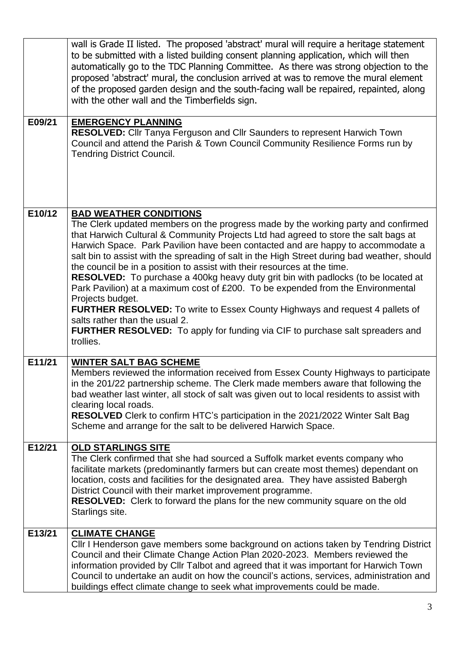|        | wall is Grade II listed. The proposed 'abstract' mural will require a heritage statement<br>to be submitted with a listed building consent planning application, which will then<br>automatically go to the TDC Planning Committee. As there was strong objection to the<br>proposed 'abstract' mural, the conclusion arrived at was to remove the mural element<br>of the proposed garden design and the south-facing wall be repaired, repainted, along<br>with the other wall and the Timberfields sign.                                                                                                                                                                                                                                                                                                                                                                                              |
|--------|----------------------------------------------------------------------------------------------------------------------------------------------------------------------------------------------------------------------------------------------------------------------------------------------------------------------------------------------------------------------------------------------------------------------------------------------------------------------------------------------------------------------------------------------------------------------------------------------------------------------------------------------------------------------------------------------------------------------------------------------------------------------------------------------------------------------------------------------------------------------------------------------------------|
| E09/21 | <b>EMERGENCY PLANNING</b><br>RESOLVED: Cllr Tanya Ferguson and Cllr Saunders to represent Harwich Town<br>Council and attend the Parish & Town Council Community Resilience Forms run by<br><b>Tendring District Council.</b>                                                                                                                                                                                                                                                                                                                                                                                                                                                                                                                                                                                                                                                                            |
| E10/12 | <b>BAD WEATHER CONDITIONS</b><br>The Clerk updated members on the progress made by the working party and confirmed<br>that Harwich Cultural & Community Projects Ltd had agreed to store the salt bags at<br>Harwich Space. Park Pavilion have been contacted and are happy to accommodate a<br>salt bin to assist with the spreading of salt in the High Street during bad weather, should<br>the council be in a position to assist with their resources at the time.<br><b>RESOLVED:</b> To purchase a 400kg heavy duty grit bin with padlocks (to be located at<br>Park Pavilion) at a maximum cost of £200. To be expended from the Environmental<br>Projects budget.<br><b>FURTHER RESOLVED:</b> To write to Essex County Highways and request 4 pallets of<br>salts rather than the usual 2.<br><b>FURTHER RESOLVED:</b> To apply for funding via CIF to purchase salt spreaders and<br>trollies. |
| E11/21 | <b>WINTER SALT BAG SCHEME</b><br>Members reviewed the information received from Essex County Highways to participate<br>in the 201/22 partnership scheme. The Clerk made members aware that following the<br>bad weather last winter, all stock of salt was given out to local residents to assist with<br>clearing local roads.<br>RESOLVED Clerk to confirm HTC's participation in the 2021/2022 Winter Salt Bag<br>Scheme and arrange for the salt to be delivered Harwich Space.                                                                                                                                                                                                                                                                                                                                                                                                                     |
| E12/21 | <b>OLD STARLINGS SITE</b><br>The Clerk confirmed that she had sourced a Suffolk market events company who<br>facilitate markets (predominantly farmers but can create most themes) dependant on<br>location, costs and facilities for the designated area. They have assisted Babergh<br>District Council with their market improvement programme.<br><b>RESOLVED:</b> Clerk to forward the plans for the new community square on the old<br>Starlings site.                                                                                                                                                                                                                                                                                                                                                                                                                                             |
| E13/21 | <b>CLIMATE CHANGE</b><br>CIIr I Henderson gave members some background on actions taken by Tendring District<br>Council and their Climate Change Action Plan 2020-2023. Members reviewed the<br>information provided by Cllr Talbot and agreed that it was important for Harwich Town<br>Council to undertake an audit on how the council's actions, services, administration and<br>buildings effect climate change to seek what improvements could be made.                                                                                                                                                                                                                                                                                                                                                                                                                                            |